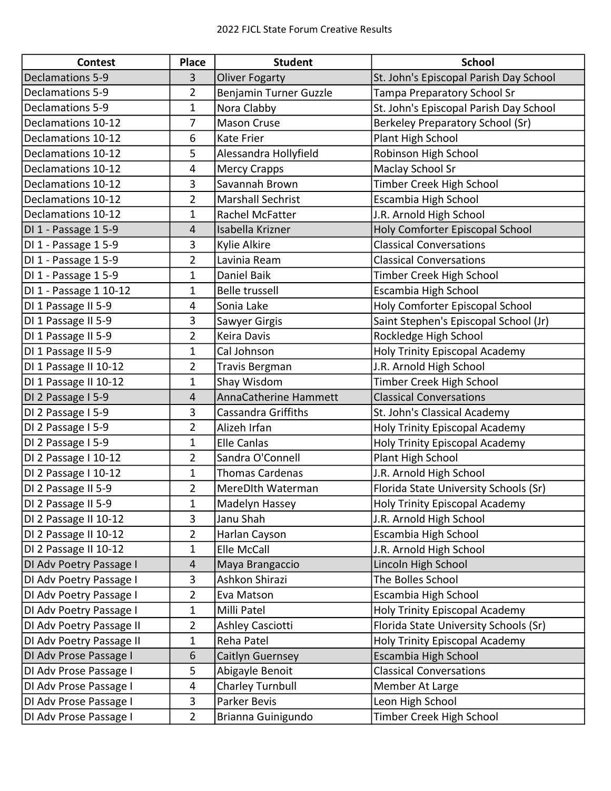| <b>Contest</b>           | <b>Place</b>   | <b>Student</b>             | <b>School</b>                          |
|--------------------------|----------------|----------------------------|----------------------------------------|
| <b>Declamations 5-9</b>  | 3              | <b>Oliver Fogarty</b>      | St. John's Episcopal Parish Day School |
| Declamations 5-9         | 2              | Benjamin Turner Guzzle     | Tampa Preparatory School Sr            |
| Declamations 5-9         | 1              | Nora Clabby                | St. John's Episcopal Parish Day School |
| Declamations 10-12       | 7              | <b>Mason Cruse</b>         | Berkeley Preparatory School (Sr)       |
| Declamations 10-12       | 6              | <b>Kate Frier</b>          | Plant High School                      |
| Declamations 10-12       | 5              | Alessandra Hollyfield      | Robinson High School                   |
| Declamations 10-12       | 4              | <b>Mercy Crapps</b>        | Maclay School Sr                       |
| Declamations 10-12       | 3              | Savannah Brown             | Timber Creek High School               |
| Declamations 10-12       | 2              | Marshall Sechrist          | Escambia High School                   |
| Declamations 10-12       | 1              | Rachel McFatter            | J.R. Arnold High School                |
| DI 1 - Passage 15-9      | 4              | Isabella Krizner           | Holy Comforter Episcopal School        |
| DI 1 - Passage 1 5-9     | 3              | Kylie Alkire               | <b>Classical Conversations</b>         |
| DI 1 - Passage 1 5-9     | $\overline{2}$ | Lavinia Ream               | <b>Classical Conversations</b>         |
| DI 1 - Passage 15-9      | 1              | Daniel Baik                | Timber Creek High School               |
| DI 1 - Passage 1 10-12   | 1              | Belle trussell             | Escambia High School                   |
| DI 1 Passage II 5-9      | 4              | Sonia Lake                 | Holy Comforter Episcopal School        |
| DI 1 Passage II 5-9      | 3              | Sawyer Girgis              | Saint Stephen's Episcopal School (Jr)  |
| DI 1 Passage II 5-9      | 2              | Keira Davis                | Rockledge High School                  |
| DI 1 Passage II 5-9      | 1              | Cal Johnson                | Holy Trinity Episcopal Academy         |
| DI 1 Passage II 10-12    | 2              | <b>Travis Bergman</b>      | J.R. Arnold High School                |
| DI 1 Passage II 10-12    | 1              | Shay Wisdom                | Timber Creek High School               |
| DI 2 Passage I 5-9       | 4              | AnnaCatherine Hammett      | <b>Classical Conversations</b>         |
| DI 2 Passage I 5-9       | 3              | <b>Cassandra Griffiths</b> | St. John's Classical Academy           |
| DI 2 Passage I 5-9       | 2              | Alizeh Irfan               | Holy Trinity Episcopal Academy         |
| DI 2 Passage I 5-9       | 1              | <b>Elle Canlas</b>         | Holy Trinity Episcopal Academy         |
| DI 2 Passage I 10-12     | $\overline{2}$ | Sandra O'Connell           | Plant High School                      |
| DI 2 Passage I 10-12     | 1              | <b>Thomas Cardenas</b>     | J.R. Arnold High School                |
| DI 2 Passage II 5-9      | 2              | MereDIth Waterman          | Florida State University Schools (Sr)  |
| DI 2 Passage II 5-9      | 1              | Madelyn Hassey             | Holy Trinity Episcopal Academy         |
| DI 2 Passage II 10-12    | 3              | Janu Shah                  | J.R. Arnold High School                |
| DI 2 Passage II 10-12    | 2              | Harlan Cayson              | Escambia High School                   |
| DI 2 Passage II 10-12    | 1              | Elle McCall                | J.R. Arnold High School                |
| DI Adv Poetry Passage I  | 4              | Maya Brangaccio            | Lincoln High School                    |
| DI Adv Poetry Passage I  | 3              | Ashkon Shirazi             | The Bolles School                      |
| DI Adv Poetry Passage I  | $\overline{2}$ | Eva Matson                 | Escambia High School                   |
| DI Adv Poetry Passage I  | 1              | Milli Patel                | Holy Trinity Episcopal Academy         |
| DI Adv Poetry Passage II | $\overline{2}$ | Ashley Casciotti           | Florida State University Schools (Sr)  |
| DI Adv Poetry Passage II | $\mathbf 1$    | Reha Patel                 | Holy Trinity Episcopal Academy         |
| DI Adv Prose Passage I   | 6              | Caitlyn Guernsey           | Escambia High School                   |
| DI Adv Prose Passage I   | 5              | Abigayle Benoit            | <b>Classical Conversations</b>         |
| DI Adv Prose Passage I   | 4              | <b>Charley Turnbull</b>    | Member At Large                        |
| DI Adv Prose Passage I   | 3              | Parker Bevis               | Leon High School                       |
| DI Adv Prose Passage I   | $\overline{2}$ | Brianna Guinigundo         | Timber Creek High School               |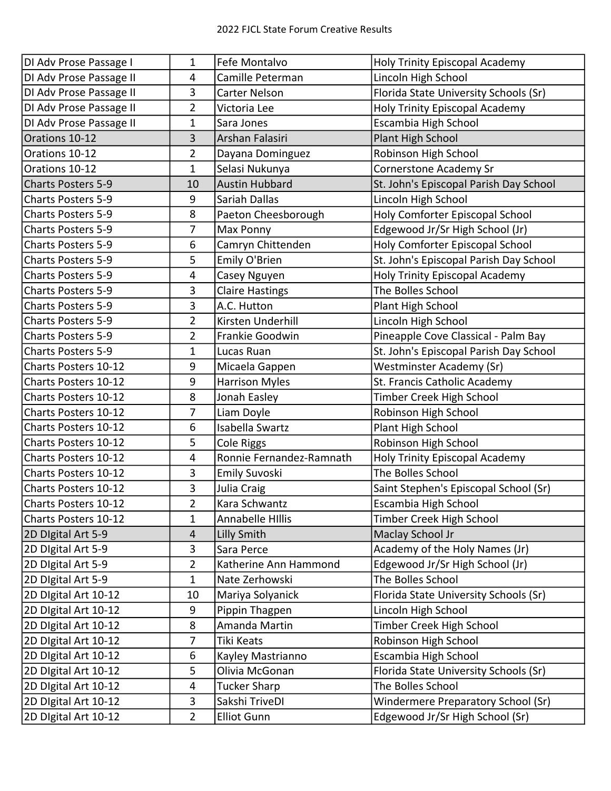| DI Adv Prose Passage I      | 1                       | Fefe Montalvo            | Holy Trinity Episcopal Academy         |
|-----------------------------|-------------------------|--------------------------|----------------------------------------|
| DI Adv Prose Passage II     | 4                       | Camille Peterman         | Lincoln High School                    |
| DI Adv Prose Passage II     | 3                       | Carter Nelson            | Florida State University Schools (Sr)  |
| DI Adv Prose Passage II     | 2                       | Victoria Lee             | Holy Trinity Episcopal Academy         |
| DI Adv Prose Passage II     | 1                       | Sara Jones               | Escambia High School                   |
| Orations 10-12              | 3                       | Arshan Falasiri          | Plant High School                      |
| Orations 10-12              | $\overline{2}$          | Dayana Dominguez         | Robinson High School                   |
| Orations 10-12              | $\mathbf 1$             | Selasi Nukunya           | Cornerstone Academy Sr                 |
| <b>Charts Posters 5-9</b>   | 10                      | <b>Austin Hubbard</b>    | St. John's Episcopal Parish Day School |
| <b>Charts Posters 5-9</b>   | 9                       | Sariah Dallas            | Lincoln High School                    |
| <b>Charts Posters 5-9</b>   | 8                       | Paeton Cheesborough      | Holy Comforter Episcopal School        |
| <b>Charts Posters 5-9</b>   | 7                       | Max Ponny                | Edgewood Jr/Sr High School (Jr)        |
| <b>Charts Posters 5-9</b>   | 6                       | Camryn Chittenden        | Holy Comforter Episcopal School        |
| <b>Charts Posters 5-9</b>   | 5                       | Emily O'Brien            | St. John's Episcopal Parish Day School |
| <b>Charts Posters 5-9</b>   | 4                       | Casey Nguyen             | Holy Trinity Episcopal Academy         |
| <b>Charts Posters 5-9</b>   | 3                       | <b>Claire Hastings</b>   | The Bolles School                      |
| <b>Charts Posters 5-9</b>   | 3                       | A.C. Hutton              | Plant High School                      |
| <b>Charts Posters 5-9</b>   | $\overline{2}$          | Kirsten Underhill        | Lincoln High School                    |
| Charts Posters 5-9          | 2                       | Frankie Goodwin          | Pineapple Cove Classical - Palm Bay    |
| <b>Charts Posters 5-9</b>   | 1                       | Lucas Ruan               | St. John's Episcopal Parish Day School |
| Charts Posters 10-12        | 9                       | Micaela Gappen           | <b>Westminster Academy (Sr)</b>        |
| Charts Posters 10-12        | 9                       | <b>Harrison Myles</b>    | St. Francis Catholic Academy           |
| Charts Posters 10-12        | 8                       | Jonah Easley             | Timber Creek High School               |
| Charts Posters 10-12        | 7                       | Liam Doyle               | Robinson High School                   |
| Charts Posters 10-12        | 6                       | Isabella Swartz          | Plant High School                      |
| <b>Charts Posters 10-12</b> | 5                       | <b>Cole Riggs</b>        | Robinson High School                   |
| Charts Posters 10-12        | 4                       | Ronnie Fernandez-Ramnath | Holy Trinity Episcopal Academy         |
| Charts Posters 10-12        | 3                       | <b>Emily Suvoski</b>     | The Bolles School                      |
| Charts Posters 10-12        | 3                       | Julia Craig              | Saint Stephen's Episcopal School (Sr)  |
| Charts Posters 10-12        | $\overline{\mathbf{c}}$ | Kara Schwantz            | Escambia High School                   |
| Charts Posters 10-12        | 1                       | <b>Annabelle Hillis</b>  | Timber Creek High School               |
| 2D Digital Art 5-9          | 4                       | <b>Lilly Smith</b>       | Maclay School Jr                       |
| 2D Digital Art 5-9          | 3                       | Sara Perce               | Academy of the Holy Names (Jr)         |
| 2D Digital Art 5-9          | 2                       | Katherine Ann Hammond    | Edgewood Jr/Sr High School (Jr)        |
| 2D Digital Art 5-9          | $\mathbf{1}$            | Nate Zerhowski           | The Bolles School                      |
| 2D Digital Art 10-12        | 10                      | Mariya Solyanick         | Florida State University Schools (Sr)  |
| 2D Digital Art 10-12        | 9                       | Pippin Thagpen           | Lincoln High School                    |
| 2D Digital Art 10-12        | 8                       | Amanda Martin            | Timber Creek High School               |
| 2D Digital Art 10-12        | 7                       | Tiki Keats               | Robinson High School                   |
| 2D Digital Art 10-12        | 6                       | Kayley Mastrianno        | Escambia High School                   |
| 2D Digital Art 10-12        | 5                       | Olivia McGonan           | Florida State University Schools (Sr)  |
| 2D Digital Art 10-12        | 4                       | <b>Tucker Sharp</b>      | The Bolles School                      |
| 2D Digital Art 10-12        | 3                       | Sakshi TriveDI           | Windermere Preparatory School (Sr)     |
| 2D Digital Art 10-12        | $\overline{2}$          | <b>Elliot Gunn</b>       | Edgewood Jr/Sr High School (Sr)        |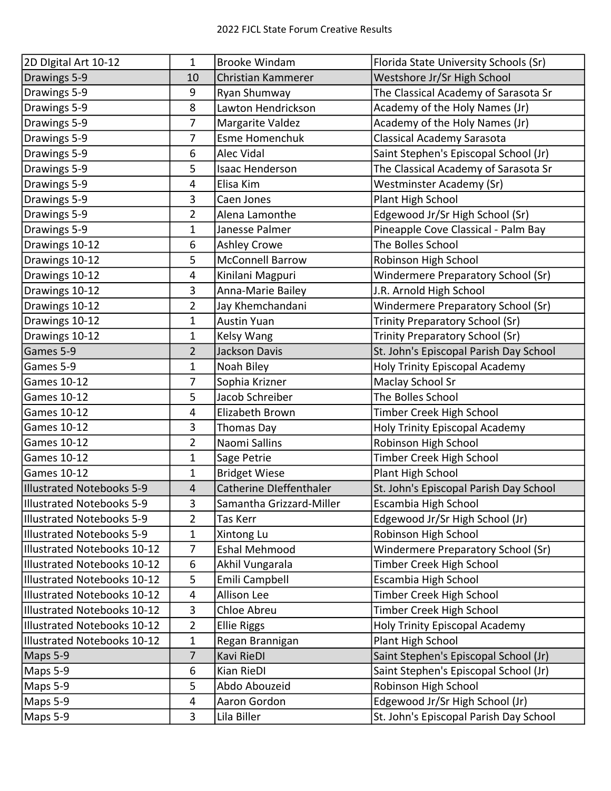| 2D Digital Art 10-12               | 1                       | <b>Brooke Windam</b>     | Florida State University Schools (Sr)  |
|------------------------------------|-------------------------|--------------------------|----------------------------------------|
| Drawings 5-9                       | 10                      | Christian Kammerer       | Westshore Jr/Sr High School            |
| Drawings 5-9                       | 9                       | Ryan Shumway             | The Classical Academy of Sarasota Sr   |
| Drawings 5-9                       | 8                       | Lawton Hendrickson       | Academy of the Holy Names (Jr)         |
| Drawings 5-9                       | $\overline{7}$          | Margarite Valdez         | Academy of the Holy Names (Jr)         |
| Drawings 5-9                       | 7                       | <b>Esme Homenchuk</b>    | Classical Academy Sarasota             |
| Drawings 5-9                       | 6                       | Alec Vidal               | Saint Stephen's Episcopal School (Jr)  |
| Drawings 5-9                       | 5                       | <b>Isaac Henderson</b>   | The Classical Academy of Sarasota Sr   |
| Drawings 5-9                       | 4                       | Elisa Kim                | <b>Westminster Academy (Sr)</b>        |
| Drawings 5-9                       | 3                       | Caen Jones               | Plant High School                      |
| Drawings 5-9                       | 2                       | Alena Lamonthe           | Edgewood Jr/Sr High School (Sr)        |
| Drawings 5-9                       | 1                       | Janesse Palmer           | Pineapple Cove Classical - Palm Bay    |
| Drawings 10-12                     | 6                       | <b>Ashley Crowe</b>      | The Bolles School                      |
| Drawings 10-12                     | 5                       | <b>McConnell Barrow</b>  | Robinson High School                   |
| Drawings 10-12                     | 4                       | Kinilani Magpuri         | Windermere Preparatory School (Sr)     |
| Drawings 10-12                     | 3                       | Anna-Marie Bailey        | J.R. Arnold High School                |
| Drawings 10-12                     | 2                       | Jay Khemchandani         | Windermere Preparatory School (Sr)     |
| Drawings 10-12                     | 1                       | <b>Austin Yuan</b>       | <b>Trinity Preparatory School (Sr)</b> |
| Drawings 10-12                     | 1                       | Kelsy Wang               | Trinity Preparatory School (Sr)        |
| Games 5-9                          | 2                       | <b>Jackson Davis</b>     | St. John's Episcopal Parish Day School |
| Games 5-9                          | 1                       | Noah Biley               | Holy Trinity Episcopal Academy         |
| <b>Games 10-12</b>                 | 7                       | Sophia Krizner           | Maclay School Sr                       |
| Games 10-12                        | 5                       | Jacob Schreiber          | The Bolles School                      |
| <b>Games 10-12</b>                 | 4                       | Elizabeth Brown          | Timber Creek High School               |
| <b>Games 10-12</b>                 | 3                       | Thomas Day               | Holy Trinity Episcopal Academy         |
| <b>Games 10-12</b>                 | 2                       | Naomi Sallins            | Robinson High School                   |
| Games 10-12                        | 1                       | Sage Petrie              | Timber Creek High School               |
| <b>Games 10-12</b>                 | 1                       | <b>Bridget Wiese</b>     | Plant High School                      |
| Illustrated Notebooks 5-9          | $\overline{4}$          | Catherine Dleffenthaler  | St. John's Episcopal Parish Day School |
| <b>Illustrated Notebooks 5-9</b>   | 3                       | Samantha Grizzard-Miller | Escambia High School                   |
| Illustrated Notebooks 5-9          | $\overline{2}$          | Tas Kerr                 | Edgewood Jr/Sr High School (Jr)        |
| <b>Illustrated Notebooks 5-9</b>   | 1                       | Xintong Lu               | Robinson High School                   |
| Illustrated Notebooks 10-12        | $\overline{7}$          | <b>Eshal Mehmood</b>     | Windermere Preparatory School (Sr)     |
| Illustrated Notebooks 10-12        | 6                       | Akhil Vungarala          | Timber Creek High School               |
| <b>Illustrated Notebooks 10-12</b> | 5                       | Emili Campbell           | Escambia High School                   |
| Illustrated Notebooks 10-12        | 4                       | Allison Lee              | Timber Creek High School               |
| <b>Illustrated Notebooks 10-12</b> | 3                       | Chloe Abreu              | Timber Creek High School               |
| Illustrated Notebooks 10-12        | $\overline{2}$          | <b>Ellie Riggs</b>       | Holy Trinity Episcopal Academy         |
| Illustrated Notebooks 10-12        | 1                       | Regan Brannigan          | Plant High School                      |
| Maps 5-9                           | $\overline{7}$          | Kavi RieDI               | Saint Stephen's Episcopal School (Jr)  |
| Maps 5-9                           | 6                       | Kian RieDI               | Saint Stephen's Episcopal School (Jr)  |
| Maps 5-9                           | 5                       | Abdo Abouzeid            | Robinson High School                   |
| Maps 5-9                           | $\overline{\mathbf{4}}$ | Aaron Gordon             | Edgewood Jr/Sr High School (Jr)        |
| Maps 5-9                           | 3                       | Lila Biller              | St. John's Episcopal Parish Day School |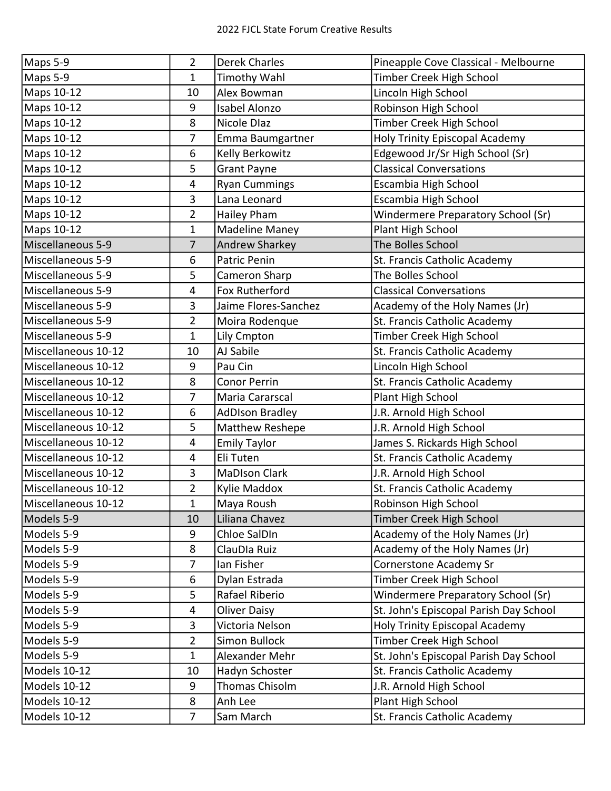| Maps 5-9            | $\overline{2}$ | <b>Derek Charles</b>   | Pineapple Cove Classical - Melbourne   |
|---------------------|----------------|------------------------|----------------------------------------|
| Maps 5-9            | 1              | <b>Timothy Wahl</b>    | Timber Creek High School               |
| Maps 10-12          | 10             | Alex Bowman            | Lincoln High School                    |
| Maps 10-12          | 9              | Isabel Alonzo          | Robinson High School                   |
| Maps 10-12          | 8              | Nicole Dlaz            | Timber Creek High School               |
| Maps 10-12          | 7              | Emma Baumgartner       | Holy Trinity Episcopal Academy         |
| Maps 10-12          | 6              | Kelly Berkowitz        | Edgewood Jr/Sr High School (Sr)        |
| Maps 10-12          | 5              | <b>Grant Payne</b>     | <b>Classical Conversations</b>         |
| Maps 10-12          | 4              | <b>Ryan Cummings</b>   | Escambia High School                   |
| Maps 10-12          | 3              | Lana Leonard           | Escambia High School                   |
| Maps 10-12          | $\overline{2}$ | <b>Hailey Pham</b>     | Windermere Preparatory School (Sr)     |
| Maps 10-12          | 1              | <b>Madeline Maney</b>  | Plant High School                      |
| Miscellaneous 5-9   | $\overline{7}$ | Andrew Sharkey         | The Bolles School                      |
| Miscellaneous 5-9   | 6              | <b>Patric Penin</b>    | St. Francis Catholic Academy           |
| Miscellaneous 5-9   | 5              | Cameron Sharp          | The Bolles School                      |
| Miscellaneous 5-9   | 4              | Fox Rutherford         | <b>Classical Conversations</b>         |
| Miscellaneous 5-9   | 3              | Jaime Flores-Sanchez   | Academy of the Holy Names (Jr)         |
| Miscellaneous 5-9   | $\overline{2}$ | Moira Rodenque         | St. Francis Catholic Academy           |
| Miscellaneous 5-9   | 1              | Lily Cmpton            | Timber Creek High School               |
| Miscellaneous 10-12 | 10             | AJ Sabile              | St. Francis Catholic Academy           |
| Miscellaneous 10-12 | 9              | Pau Cin                | Lincoln High School                    |
| Miscellaneous 10-12 | 8              | <b>Conor Perrin</b>    | St. Francis Catholic Academy           |
| Miscellaneous 10-12 | 7              | Maria Cararscal        | Plant High School                      |
| Miscellaneous 10-12 | 6              | <b>AdDIson Bradley</b> | J.R. Arnold High School                |
| Miscellaneous 10-12 | 5              | Matthew Reshepe        | J.R. Arnold High School                |
| Miscellaneous 10-12 | 4              | <b>Emily Taylor</b>    | James S. Rickards High School          |
| Miscellaneous 10-12 | 4              | Eli Tuten              | St. Francis Catholic Academy           |
| Miscellaneous 10-12 | 3              | <b>MaDIson Clark</b>   | J.R. Arnold High School                |
| Miscellaneous 10-12 | $\overline{2}$ | Kylie Maddox           | St. Francis Catholic Academy           |
| Miscellaneous 10-12 | $\mathbf{1}$   | Maya Roush             | Robinson High School                   |
| Models 5-9          | 10             | Liliana Chavez         | Timber Creek High School               |
| Models 5-9          | 9              | Chloe SalDIn           | Academy of the Holy Names (Jr)         |
| Models 5-9          | 8              | ClauDIa Ruiz           | Academy of the Holy Names (Jr)         |
| Models 5-9          | 7              | Ian Fisher             | Cornerstone Academy Sr                 |
| Models 5-9          | 6              | Dylan Estrada          | Timber Creek High School               |
| Models 5-9          | 5              | Rafael Riberio         | Windermere Preparatory School (Sr)     |
| Models 5-9          | 4              | <b>Oliver Daisy</b>    | St. John's Episcopal Parish Day School |
| Models 5-9          | 3              | Victoria Nelson        | Holy Trinity Episcopal Academy         |
| Models 5-9          | $\overline{2}$ | Simon Bullock          | Timber Creek High School               |
| Models 5-9          | $\mathbf{1}$   | Alexander Mehr         | St. John's Episcopal Parish Day School |
| Models 10-12        | 10             | Hadyn Schoster         | St. Francis Catholic Academy           |
| Models 10-12        | 9              | Thomas Chisolm         | J.R. Arnold High School                |
| Models 10-12        | 8              | Anh Lee                | Plant High School                      |
| Models 10-12        | $\overline{7}$ | Sam March              | St. Francis Catholic Academy           |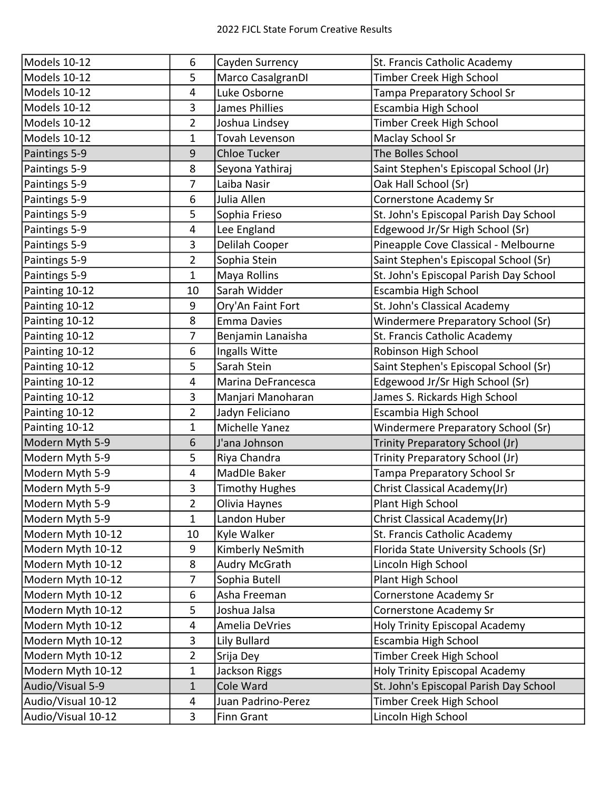| Models 10-12       | 6              | Cayden Surrency       | St. Francis Catholic Academy           |
|--------------------|----------------|-----------------------|----------------------------------------|
| Models 10-12       | 5              | Marco CasalgranDI     | Timber Creek High School               |
| Models 10-12       | 4              | Luke Osborne          | Tampa Preparatory School Sr            |
| Models 10-12       | 3              | James Phillies        | Escambia High School                   |
| Models 10-12       | $\overline{2}$ | Joshua Lindsey        | Timber Creek High School               |
| Models 10-12       | 1              | Tovah Levenson        | Maclay School Sr                       |
| Paintings 5-9      | 9              | <b>Chloe Tucker</b>   | The Bolles School                      |
| Paintings 5-9      | 8              | Seyona Yathiraj       | Saint Stephen's Episcopal School (Jr)  |
| Paintings 5-9      | $\overline{7}$ | Laiba Nasir           | Oak Hall School (Sr)                   |
| Paintings 5-9      | 6              | Julia Allen           | Cornerstone Academy Sr                 |
| Paintings 5-9      | 5              | Sophia Frieso         | St. John's Episcopal Parish Day School |
| Paintings 5-9      | 4              | Lee England           | Edgewood Jr/Sr High School (Sr)        |
| Paintings 5-9      | 3              | Delilah Cooper        | Pineapple Cove Classical - Melbourne   |
| Paintings 5-9      | $\overline{2}$ | Sophia Stein          | Saint Stephen's Episcopal School (Sr)  |
| Paintings 5-9      | $\mathbf 1$    | Maya Rollins          | St. John's Episcopal Parish Day School |
| Painting 10-12     | 10             | Sarah Widder          | Escambia High School                   |
| Painting 10-12     | 9              | Ory'An Faint Fort     | St. John's Classical Academy           |
| Painting 10-12     | 8              | <b>Emma Davies</b>    | Windermere Preparatory School (Sr)     |
| Painting 10-12     | 7              | Benjamin Lanaisha     | St. Francis Catholic Academy           |
| Painting 10-12     | 6              | Ingalls Witte         | Robinson High School                   |
| Painting 10-12     | 5              | Sarah Stein           | Saint Stephen's Episcopal School (Sr)  |
| Painting 10-12     | 4              | Marina DeFrancesca    | Edgewood Jr/Sr High School (Sr)        |
| Painting 10-12     | 3              | Manjari Manoharan     | James S. Rickards High School          |
| Painting 10-12     | $\overline{2}$ | Jadyn Feliciano       | Escambia High School                   |
| Painting 10-12     | 1              | Michelle Yanez        | Windermere Preparatory School (Sr)     |
| Modern Myth 5-9    | 6              | J'ana Johnson         | Trinity Preparatory School (Jr)        |
| Modern Myth 5-9    | 5              | Riya Chandra          | Trinity Preparatory School (Jr)        |
| Modern Myth 5-9    | 4              | MadDle Baker          | Tampa Preparatory School Sr            |
| Modern Myth 5-9    | 3              | <b>Timothy Hughes</b> | Christ Classical Academy(Jr)           |
| Modern Myth 5-9    | $\overline{2}$ | Olivia Haynes         | Plant High School                      |
| Modern Myth 5-9    | $\mathbf{1}$   | Landon Huber          | Christ Classical Academy(Jr)           |
| Modern Myth 10-12  | 10             | Kyle Walker           | St. Francis Catholic Academy           |
| Modern Myth 10-12  | 9              | Kimberly NeSmith      | Florida State University Schools (Sr)  |
| Modern Myth 10-12  | 8              | Audry McGrath         | Lincoln High School                    |
| Modern Myth 10-12  | $\overline{7}$ | Sophia Butell         | Plant High School                      |
| Modern Myth 10-12  | 6              | Asha Freeman          | Cornerstone Academy Sr                 |
| Modern Myth 10-12  | 5              | Joshua Jalsa          | Cornerstone Academy Sr                 |
| Modern Myth 10-12  | 4              | Amelia DeVries        | Holy Trinity Episcopal Academy         |
| Modern Myth 10-12  | 3              | Lily Bullard          | Escambia High School                   |
| Modern Myth 10-12  | $\overline{2}$ | Srija Dey             | Timber Creek High School               |
| Modern Myth 10-12  | $\mathbf{1}$   | Jackson Riggs         | Holy Trinity Episcopal Academy         |
| Audio/Visual 5-9   | $\mathbf{1}$   | Cole Ward             | St. John's Episcopal Parish Day School |
| Audio/Visual 10-12 | 4              | Juan Padrino-Perez    | Timber Creek High School               |
| Audio/Visual 10-12 | 3              | <b>Finn Grant</b>     | Lincoln High School                    |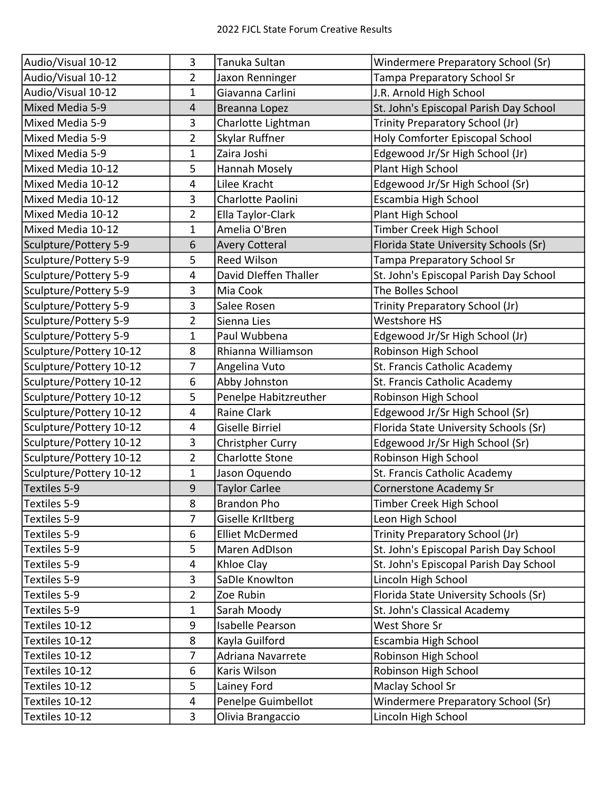| Audio/Visual 10-12<br>2<br>Jaxon Renninger<br>Tampa Preparatory School Sr<br>Audio/Visual 10-12<br>Giavanna Carlini<br>J.R. Arnold High School<br>1<br>Mixed Media 5-9<br>St. John's Episcopal Parish Day School<br>4<br>Breanna Lopez<br>Charlotte Lightman<br>Trinity Preparatory School (Jr)<br>Mixed Media 5-9<br>3<br>Holy Comforter Episcopal School<br>Mixed Media 5-9<br>2<br>Skylar Ruffner<br>Zaira Joshi<br>Mixed Media 5-9<br>Edgewood Jr/Sr High School (Jr)<br>1<br>Mixed Media 10-12<br>5<br>Hannah Mosely<br>Plant High School<br>Mixed Media 10-12<br>Lilee Kracht<br>4<br>Edgewood Jr/Sr High School (Sr)<br>3<br>Escambia High School<br>Mixed Media 10-12<br>Charlotte Paolini<br>Mixed Media 10-12<br>Ella Taylor-Clark<br>Plant High School<br>2<br>Mixed Media 10-12<br>Amelia O'Bren<br>Timber Creek High School<br>1<br>Florida State University Schools (Sr)<br>Sculpture/Pottery 5-9<br><b>Avery Cotteral</b><br>6<br>Sculpture/Pottery 5-9<br>5<br><b>Reed Wilson</b><br>Tampa Preparatory School Sr<br>Sculpture/Pottery 5-9<br>David Dleffen Thaller<br>4<br>St. John's Episcopal Parish Day School<br>Sculpture/Pottery 5-9<br>Mia Cook<br>The Bolles School<br>3<br>Sculpture/Pottery 5-9<br>3<br>Salee Rosen<br>Trinity Preparatory School (Jr)<br>Sculpture/Pottery 5-9<br><b>Westshore HS</b><br>2<br>Sienna Lies<br>Sculpture/Pottery 5-9<br>Paul Wubbena<br>Edgewood Jr/Sr High School (Jr)<br>1<br>Sculpture/Pottery 10-12<br>8<br>Rhianna Williamson<br>Robinson High School<br>Sculpture/Pottery 10-12<br>7<br>St. Francis Catholic Academy<br>Angelina Vuto<br>Abby Johnston<br>Sculpture/Pottery 10-12<br>6<br>St. Francis Catholic Academy<br>Sculpture/Pottery 10-12<br>5<br>Penelpe Habitzreuther<br>Robinson High School<br>Sculpture/Pottery 10-12<br>Raine Clark<br>Edgewood Jr/Sr High School (Sr)<br>4<br>Sculpture/Pottery 10-12<br><b>Giselle Birriel</b><br>Florida State University Schools (Sr)<br>4<br>Sculpture/Pottery 10-12<br>3<br>Christpher Curry<br>Edgewood Jr/Sr High School (Sr)<br>Sculpture/Pottery 10-12<br>$\overline{2}$<br><b>Charlotte Stone</b><br>Robinson High School<br>St. Francis Catholic Academy<br>Sculpture/Pottery 10-12<br>1<br>Jason Oquendo<br>Textiles 5-9<br>Cornerstone Academy Sr<br>9<br><b>Taylor Carlee</b><br>Brandon Pho<br>Textiles 5-9<br>8<br>Timber Creek High School<br>7<br>Leon High School<br>Textiles 5-9<br>Giselle Kriitberg<br>Textiles 5-9<br>6<br>Trinity Preparatory School (Jr)<br><b>Elliet McDermed</b><br>Textiles 5-9<br>St. John's Episcopal Parish Day School<br>5<br>Maren AdDIson<br>Textiles 5-9<br>4<br>Khloe Clay<br>St. John's Episcopal Parish Day School<br>Textiles 5-9<br>3<br>SaDle Knowlton<br>Lincoln High School<br>Textiles 5-9<br>2<br>Florida State University Schools (Sr)<br>Zoe Rubin<br>Textiles 5-9<br>Sarah Moody<br>St. John's Classical Academy<br>1<br>Textiles 10-12<br>9<br>Isabelle Pearson<br>West Shore Sr<br>Textiles 10-12<br>8<br>Kayla Guilford<br>Escambia High School | Audio/Visual 10-12 | 3 | Tanuka Sultan     | Windermere Preparatory School (Sr) |
|----------------------------------------------------------------------------------------------------------------------------------------------------------------------------------------------------------------------------------------------------------------------------------------------------------------------------------------------------------------------------------------------------------------------------------------------------------------------------------------------------------------------------------------------------------------------------------------------------------------------------------------------------------------------------------------------------------------------------------------------------------------------------------------------------------------------------------------------------------------------------------------------------------------------------------------------------------------------------------------------------------------------------------------------------------------------------------------------------------------------------------------------------------------------------------------------------------------------------------------------------------------------------------------------------------------------------------------------------------------------------------------------------------------------------------------------------------------------------------------------------------------------------------------------------------------------------------------------------------------------------------------------------------------------------------------------------------------------------------------------------------------------------------------------------------------------------------------------------------------------------------------------------------------------------------------------------------------------------------------------------------------------------------------------------------------------------------------------------------------------------------------------------------------------------------------------------------------------------------------------------------------------------------------------------------------------------------------------------------------------------------------------------------------------------------------------------------------------------------------------------------------------------------------------------------------------------------------------------------------------------------------------------------------------------------------------------------------------------------------------------------------------------------------------------------------------------------------------------------------------------------------------------------------------------------------------------------------------------------------------------------------------------------|--------------------|---|-------------------|------------------------------------|
|                                                                                                                                                                                                                                                                                                                                                                                                                                                                                                                                                                                                                                                                                                                                                                                                                                                                                                                                                                                                                                                                                                                                                                                                                                                                                                                                                                                                                                                                                                                                                                                                                                                                                                                                                                                                                                                                                                                                                                                                                                                                                                                                                                                                                                                                                                                                                                                                                                                                                                                                                                                                                                                                                                                                                                                                                                                                                                                                                                                                                                  |                    |   |                   |                                    |
|                                                                                                                                                                                                                                                                                                                                                                                                                                                                                                                                                                                                                                                                                                                                                                                                                                                                                                                                                                                                                                                                                                                                                                                                                                                                                                                                                                                                                                                                                                                                                                                                                                                                                                                                                                                                                                                                                                                                                                                                                                                                                                                                                                                                                                                                                                                                                                                                                                                                                                                                                                                                                                                                                                                                                                                                                                                                                                                                                                                                                                  |                    |   |                   |                                    |
|                                                                                                                                                                                                                                                                                                                                                                                                                                                                                                                                                                                                                                                                                                                                                                                                                                                                                                                                                                                                                                                                                                                                                                                                                                                                                                                                                                                                                                                                                                                                                                                                                                                                                                                                                                                                                                                                                                                                                                                                                                                                                                                                                                                                                                                                                                                                                                                                                                                                                                                                                                                                                                                                                                                                                                                                                                                                                                                                                                                                                                  |                    |   |                   |                                    |
|                                                                                                                                                                                                                                                                                                                                                                                                                                                                                                                                                                                                                                                                                                                                                                                                                                                                                                                                                                                                                                                                                                                                                                                                                                                                                                                                                                                                                                                                                                                                                                                                                                                                                                                                                                                                                                                                                                                                                                                                                                                                                                                                                                                                                                                                                                                                                                                                                                                                                                                                                                                                                                                                                                                                                                                                                                                                                                                                                                                                                                  |                    |   |                   |                                    |
|                                                                                                                                                                                                                                                                                                                                                                                                                                                                                                                                                                                                                                                                                                                                                                                                                                                                                                                                                                                                                                                                                                                                                                                                                                                                                                                                                                                                                                                                                                                                                                                                                                                                                                                                                                                                                                                                                                                                                                                                                                                                                                                                                                                                                                                                                                                                                                                                                                                                                                                                                                                                                                                                                                                                                                                                                                                                                                                                                                                                                                  |                    |   |                   |                                    |
|                                                                                                                                                                                                                                                                                                                                                                                                                                                                                                                                                                                                                                                                                                                                                                                                                                                                                                                                                                                                                                                                                                                                                                                                                                                                                                                                                                                                                                                                                                                                                                                                                                                                                                                                                                                                                                                                                                                                                                                                                                                                                                                                                                                                                                                                                                                                                                                                                                                                                                                                                                                                                                                                                                                                                                                                                                                                                                                                                                                                                                  |                    |   |                   |                                    |
|                                                                                                                                                                                                                                                                                                                                                                                                                                                                                                                                                                                                                                                                                                                                                                                                                                                                                                                                                                                                                                                                                                                                                                                                                                                                                                                                                                                                                                                                                                                                                                                                                                                                                                                                                                                                                                                                                                                                                                                                                                                                                                                                                                                                                                                                                                                                                                                                                                                                                                                                                                                                                                                                                                                                                                                                                                                                                                                                                                                                                                  |                    |   |                   |                                    |
|                                                                                                                                                                                                                                                                                                                                                                                                                                                                                                                                                                                                                                                                                                                                                                                                                                                                                                                                                                                                                                                                                                                                                                                                                                                                                                                                                                                                                                                                                                                                                                                                                                                                                                                                                                                                                                                                                                                                                                                                                                                                                                                                                                                                                                                                                                                                                                                                                                                                                                                                                                                                                                                                                                                                                                                                                                                                                                                                                                                                                                  |                    |   |                   |                                    |
|                                                                                                                                                                                                                                                                                                                                                                                                                                                                                                                                                                                                                                                                                                                                                                                                                                                                                                                                                                                                                                                                                                                                                                                                                                                                                                                                                                                                                                                                                                                                                                                                                                                                                                                                                                                                                                                                                                                                                                                                                                                                                                                                                                                                                                                                                                                                                                                                                                                                                                                                                                                                                                                                                                                                                                                                                                                                                                                                                                                                                                  |                    |   |                   |                                    |
|                                                                                                                                                                                                                                                                                                                                                                                                                                                                                                                                                                                                                                                                                                                                                                                                                                                                                                                                                                                                                                                                                                                                                                                                                                                                                                                                                                                                                                                                                                                                                                                                                                                                                                                                                                                                                                                                                                                                                                                                                                                                                                                                                                                                                                                                                                                                                                                                                                                                                                                                                                                                                                                                                                                                                                                                                                                                                                                                                                                                                                  |                    |   |                   |                                    |
|                                                                                                                                                                                                                                                                                                                                                                                                                                                                                                                                                                                                                                                                                                                                                                                                                                                                                                                                                                                                                                                                                                                                                                                                                                                                                                                                                                                                                                                                                                                                                                                                                                                                                                                                                                                                                                                                                                                                                                                                                                                                                                                                                                                                                                                                                                                                                                                                                                                                                                                                                                                                                                                                                                                                                                                                                                                                                                                                                                                                                                  |                    |   |                   |                                    |
|                                                                                                                                                                                                                                                                                                                                                                                                                                                                                                                                                                                                                                                                                                                                                                                                                                                                                                                                                                                                                                                                                                                                                                                                                                                                                                                                                                                                                                                                                                                                                                                                                                                                                                                                                                                                                                                                                                                                                                                                                                                                                                                                                                                                                                                                                                                                                                                                                                                                                                                                                                                                                                                                                                                                                                                                                                                                                                                                                                                                                                  |                    |   |                   |                                    |
|                                                                                                                                                                                                                                                                                                                                                                                                                                                                                                                                                                                                                                                                                                                                                                                                                                                                                                                                                                                                                                                                                                                                                                                                                                                                                                                                                                                                                                                                                                                                                                                                                                                                                                                                                                                                                                                                                                                                                                                                                                                                                                                                                                                                                                                                                                                                                                                                                                                                                                                                                                                                                                                                                                                                                                                                                                                                                                                                                                                                                                  |                    |   |                   |                                    |
|                                                                                                                                                                                                                                                                                                                                                                                                                                                                                                                                                                                                                                                                                                                                                                                                                                                                                                                                                                                                                                                                                                                                                                                                                                                                                                                                                                                                                                                                                                                                                                                                                                                                                                                                                                                                                                                                                                                                                                                                                                                                                                                                                                                                                                                                                                                                                                                                                                                                                                                                                                                                                                                                                                                                                                                                                                                                                                                                                                                                                                  |                    |   |                   |                                    |
|                                                                                                                                                                                                                                                                                                                                                                                                                                                                                                                                                                                                                                                                                                                                                                                                                                                                                                                                                                                                                                                                                                                                                                                                                                                                                                                                                                                                                                                                                                                                                                                                                                                                                                                                                                                                                                                                                                                                                                                                                                                                                                                                                                                                                                                                                                                                                                                                                                                                                                                                                                                                                                                                                                                                                                                                                                                                                                                                                                                                                                  |                    |   |                   |                                    |
|                                                                                                                                                                                                                                                                                                                                                                                                                                                                                                                                                                                                                                                                                                                                                                                                                                                                                                                                                                                                                                                                                                                                                                                                                                                                                                                                                                                                                                                                                                                                                                                                                                                                                                                                                                                                                                                                                                                                                                                                                                                                                                                                                                                                                                                                                                                                                                                                                                                                                                                                                                                                                                                                                                                                                                                                                                                                                                                                                                                                                                  |                    |   |                   |                                    |
|                                                                                                                                                                                                                                                                                                                                                                                                                                                                                                                                                                                                                                                                                                                                                                                                                                                                                                                                                                                                                                                                                                                                                                                                                                                                                                                                                                                                                                                                                                                                                                                                                                                                                                                                                                                                                                                                                                                                                                                                                                                                                                                                                                                                                                                                                                                                                                                                                                                                                                                                                                                                                                                                                                                                                                                                                                                                                                                                                                                                                                  |                    |   |                   |                                    |
|                                                                                                                                                                                                                                                                                                                                                                                                                                                                                                                                                                                                                                                                                                                                                                                                                                                                                                                                                                                                                                                                                                                                                                                                                                                                                                                                                                                                                                                                                                                                                                                                                                                                                                                                                                                                                                                                                                                                                                                                                                                                                                                                                                                                                                                                                                                                                                                                                                                                                                                                                                                                                                                                                                                                                                                                                                                                                                                                                                                                                                  |                    |   |                   |                                    |
|                                                                                                                                                                                                                                                                                                                                                                                                                                                                                                                                                                                                                                                                                                                                                                                                                                                                                                                                                                                                                                                                                                                                                                                                                                                                                                                                                                                                                                                                                                                                                                                                                                                                                                                                                                                                                                                                                                                                                                                                                                                                                                                                                                                                                                                                                                                                                                                                                                                                                                                                                                                                                                                                                                                                                                                                                                                                                                                                                                                                                                  |                    |   |                   |                                    |
|                                                                                                                                                                                                                                                                                                                                                                                                                                                                                                                                                                                                                                                                                                                                                                                                                                                                                                                                                                                                                                                                                                                                                                                                                                                                                                                                                                                                                                                                                                                                                                                                                                                                                                                                                                                                                                                                                                                                                                                                                                                                                                                                                                                                                                                                                                                                                                                                                                                                                                                                                                                                                                                                                                                                                                                                                                                                                                                                                                                                                                  |                    |   |                   |                                    |
|                                                                                                                                                                                                                                                                                                                                                                                                                                                                                                                                                                                                                                                                                                                                                                                                                                                                                                                                                                                                                                                                                                                                                                                                                                                                                                                                                                                                                                                                                                                                                                                                                                                                                                                                                                                                                                                                                                                                                                                                                                                                                                                                                                                                                                                                                                                                                                                                                                                                                                                                                                                                                                                                                                                                                                                                                                                                                                                                                                                                                                  |                    |   |                   |                                    |
|                                                                                                                                                                                                                                                                                                                                                                                                                                                                                                                                                                                                                                                                                                                                                                                                                                                                                                                                                                                                                                                                                                                                                                                                                                                                                                                                                                                                                                                                                                                                                                                                                                                                                                                                                                                                                                                                                                                                                                                                                                                                                                                                                                                                                                                                                                                                                                                                                                                                                                                                                                                                                                                                                                                                                                                                                                                                                                                                                                                                                                  |                    |   |                   |                                    |
|                                                                                                                                                                                                                                                                                                                                                                                                                                                                                                                                                                                                                                                                                                                                                                                                                                                                                                                                                                                                                                                                                                                                                                                                                                                                                                                                                                                                                                                                                                                                                                                                                                                                                                                                                                                                                                                                                                                                                                                                                                                                                                                                                                                                                                                                                                                                                                                                                                                                                                                                                                                                                                                                                                                                                                                                                                                                                                                                                                                                                                  |                    |   |                   |                                    |
|                                                                                                                                                                                                                                                                                                                                                                                                                                                                                                                                                                                                                                                                                                                                                                                                                                                                                                                                                                                                                                                                                                                                                                                                                                                                                                                                                                                                                                                                                                                                                                                                                                                                                                                                                                                                                                                                                                                                                                                                                                                                                                                                                                                                                                                                                                                                                                                                                                                                                                                                                                                                                                                                                                                                                                                                                                                                                                                                                                                                                                  |                    |   |                   |                                    |
|                                                                                                                                                                                                                                                                                                                                                                                                                                                                                                                                                                                                                                                                                                                                                                                                                                                                                                                                                                                                                                                                                                                                                                                                                                                                                                                                                                                                                                                                                                                                                                                                                                                                                                                                                                                                                                                                                                                                                                                                                                                                                                                                                                                                                                                                                                                                                                                                                                                                                                                                                                                                                                                                                                                                                                                                                                                                                                                                                                                                                                  |                    |   |                   |                                    |
|                                                                                                                                                                                                                                                                                                                                                                                                                                                                                                                                                                                                                                                                                                                                                                                                                                                                                                                                                                                                                                                                                                                                                                                                                                                                                                                                                                                                                                                                                                                                                                                                                                                                                                                                                                                                                                                                                                                                                                                                                                                                                                                                                                                                                                                                                                                                                                                                                                                                                                                                                                                                                                                                                                                                                                                                                                                                                                                                                                                                                                  |                    |   |                   |                                    |
|                                                                                                                                                                                                                                                                                                                                                                                                                                                                                                                                                                                                                                                                                                                                                                                                                                                                                                                                                                                                                                                                                                                                                                                                                                                                                                                                                                                                                                                                                                                                                                                                                                                                                                                                                                                                                                                                                                                                                                                                                                                                                                                                                                                                                                                                                                                                                                                                                                                                                                                                                                                                                                                                                                                                                                                                                                                                                                                                                                                                                                  |                    |   |                   |                                    |
|                                                                                                                                                                                                                                                                                                                                                                                                                                                                                                                                                                                                                                                                                                                                                                                                                                                                                                                                                                                                                                                                                                                                                                                                                                                                                                                                                                                                                                                                                                                                                                                                                                                                                                                                                                                                                                                                                                                                                                                                                                                                                                                                                                                                                                                                                                                                                                                                                                                                                                                                                                                                                                                                                                                                                                                                                                                                                                                                                                                                                                  |                    |   |                   |                                    |
|                                                                                                                                                                                                                                                                                                                                                                                                                                                                                                                                                                                                                                                                                                                                                                                                                                                                                                                                                                                                                                                                                                                                                                                                                                                                                                                                                                                                                                                                                                                                                                                                                                                                                                                                                                                                                                                                                                                                                                                                                                                                                                                                                                                                                                                                                                                                                                                                                                                                                                                                                                                                                                                                                                                                                                                                                                                                                                                                                                                                                                  |                    |   |                   |                                    |
|                                                                                                                                                                                                                                                                                                                                                                                                                                                                                                                                                                                                                                                                                                                                                                                                                                                                                                                                                                                                                                                                                                                                                                                                                                                                                                                                                                                                                                                                                                                                                                                                                                                                                                                                                                                                                                                                                                                                                                                                                                                                                                                                                                                                                                                                                                                                                                                                                                                                                                                                                                                                                                                                                                                                                                                                                                                                                                                                                                                                                                  |                    |   |                   |                                    |
|                                                                                                                                                                                                                                                                                                                                                                                                                                                                                                                                                                                                                                                                                                                                                                                                                                                                                                                                                                                                                                                                                                                                                                                                                                                                                                                                                                                                                                                                                                                                                                                                                                                                                                                                                                                                                                                                                                                                                                                                                                                                                                                                                                                                                                                                                                                                                                                                                                                                                                                                                                                                                                                                                                                                                                                                                                                                                                                                                                                                                                  |                    |   |                   |                                    |
|                                                                                                                                                                                                                                                                                                                                                                                                                                                                                                                                                                                                                                                                                                                                                                                                                                                                                                                                                                                                                                                                                                                                                                                                                                                                                                                                                                                                                                                                                                                                                                                                                                                                                                                                                                                                                                                                                                                                                                                                                                                                                                                                                                                                                                                                                                                                                                                                                                                                                                                                                                                                                                                                                                                                                                                                                                                                                                                                                                                                                                  |                    |   |                   |                                    |
|                                                                                                                                                                                                                                                                                                                                                                                                                                                                                                                                                                                                                                                                                                                                                                                                                                                                                                                                                                                                                                                                                                                                                                                                                                                                                                                                                                                                                                                                                                                                                                                                                                                                                                                                                                                                                                                                                                                                                                                                                                                                                                                                                                                                                                                                                                                                                                                                                                                                                                                                                                                                                                                                                                                                                                                                                                                                                                                                                                                                                                  |                    |   |                   |                                    |
|                                                                                                                                                                                                                                                                                                                                                                                                                                                                                                                                                                                                                                                                                                                                                                                                                                                                                                                                                                                                                                                                                                                                                                                                                                                                                                                                                                                                                                                                                                                                                                                                                                                                                                                                                                                                                                                                                                                                                                                                                                                                                                                                                                                                                                                                                                                                                                                                                                                                                                                                                                                                                                                                                                                                                                                                                                                                                                                                                                                                                                  |                    |   |                   |                                    |
|                                                                                                                                                                                                                                                                                                                                                                                                                                                                                                                                                                                                                                                                                                                                                                                                                                                                                                                                                                                                                                                                                                                                                                                                                                                                                                                                                                                                                                                                                                                                                                                                                                                                                                                                                                                                                                                                                                                                                                                                                                                                                                                                                                                                                                                                                                                                                                                                                                                                                                                                                                                                                                                                                                                                                                                                                                                                                                                                                                                                                                  |                    |   |                   |                                    |
|                                                                                                                                                                                                                                                                                                                                                                                                                                                                                                                                                                                                                                                                                                                                                                                                                                                                                                                                                                                                                                                                                                                                                                                                                                                                                                                                                                                                                                                                                                                                                                                                                                                                                                                                                                                                                                                                                                                                                                                                                                                                                                                                                                                                                                                                                                                                                                                                                                                                                                                                                                                                                                                                                                                                                                                                                                                                                                                                                                                                                                  |                    |   |                   |                                    |
|                                                                                                                                                                                                                                                                                                                                                                                                                                                                                                                                                                                                                                                                                                                                                                                                                                                                                                                                                                                                                                                                                                                                                                                                                                                                                                                                                                                                                                                                                                                                                                                                                                                                                                                                                                                                                                                                                                                                                                                                                                                                                                                                                                                                                                                                                                                                                                                                                                                                                                                                                                                                                                                                                                                                                                                                                                                                                                                                                                                                                                  |                    |   |                   |                                    |
|                                                                                                                                                                                                                                                                                                                                                                                                                                                                                                                                                                                                                                                                                                                                                                                                                                                                                                                                                                                                                                                                                                                                                                                                                                                                                                                                                                                                                                                                                                                                                                                                                                                                                                                                                                                                                                                                                                                                                                                                                                                                                                                                                                                                                                                                                                                                                                                                                                                                                                                                                                                                                                                                                                                                                                                                                                                                                                                                                                                                                                  |                    |   |                   |                                    |
|                                                                                                                                                                                                                                                                                                                                                                                                                                                                                                                                                                                                                                                                                                                                                                                                                                                                                                                                                                                                                                                                                                                                                                                                                                                                                                                                                                                                                                                                                                                                                                                                                                                                                                                                                                                                                                                                                                                                                                                                                                                                                                                                                                                                                                                                                                                                                                                                                                                                                                                                                                                                                                                                                                                                                                                                                                                                                                                                                                                                                                  | Textiles 10-12     | 7 | Adriana Navarrete | Robinson High School               |
| Textiles 10-12<br>6<br>Karis Wilson<br>Robinson High School                                                                                                                                                                                                                                                                                                                                                                                                                                                                                                                                                                                                                                                                                                                                                                                                                                                                                                                                                                                                                                                                                                                                                                                                                                                                                                                                                                                                                                                                                                                                                                                                                                                                                                                                                                                                                                                                                                                                                                                                                                                                                                                                                                                                                                                                                                                                                                                                                                                                                                                                                                                                                                                                                                                                                                                                                                                                                                                                                                      |                    |   |                   |                                    |
| Textiles 10-12<br>Maclay School Sr<br>5<br>Lainey Ford                                                                                                                                                                                                                                                                                                                                                                                                                                                                                                                                                                                                                                                                                                                                                                                                                                                                                                                                                                                                                                                                                                                                                                                                                                                                                                                                                                                                                                                                                                                                                                                                                                                                                                                                                                                                                                                                                                                                                                                                                                                                                                                                                                                                                                                                                                                                                                                                                                                                                                                                                                                                                                                                                                                                                                                                                                                                                                                                                                           |                    |   |                   |                                    |
| Textiles 10-12<br>4<br>Windermere Preparatory School (Sr)<br>Penelpe Guimbellot                                                                                                                                                                                                                                                                                                                                                                                                                                                                                                                                                                                                                                                                                                                                                                                                                                                                                                                                                                                                                                                                                                                                                                                                                                                                                                                                                                                                                                                                                                                                                                                                                                                                                                                                                                                                                                                                                                                                                                                                                                                                                                                                                                                                                                                                                                                                                                                                                                                                                                                                                                                                                                                                                                                                                                                                                                                                                                                                                  |                    |   |                   |                                    |
| Textiles 10-12<br>$\mathbf{3}$<br>Olivia Brangaccio<br>Lincoln High School                                                                                                                                                                                                                                                                                                                                                                                                                                                                                                                                                                                                                                                                                                                                                                                                                                                                                                                                                                                                                                                                                                                                                                                                                                                                                                                                                                                                                                                                                                                                                                                                                                                                                                                                                                                                                                                                                                                                                                                                                                                                                                                                                                                                                                                                                                                                                                                                                                                                                                                                                                                                                                                                                                                                                                                                                                                                                                                                                       |                    |   |                   |                                    |